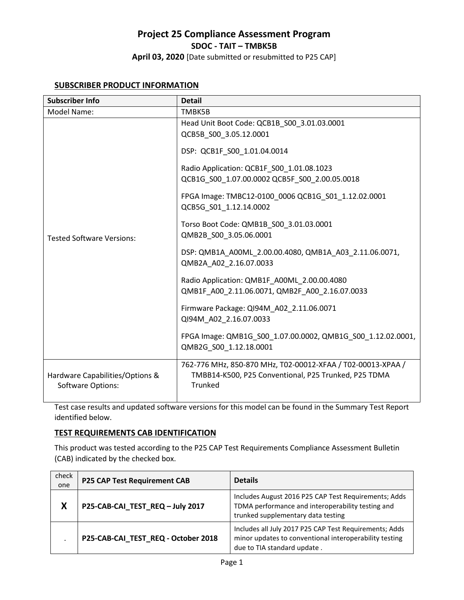**April 03, 2020** [Date submitted or resubmitted to P25 CAP]

# **SUBSCRIBER PRODUCT INFORMATION**

| <b>Subscriber Info</b>                                      | <b>Detail</b>                                                                                                                         |
|-------------------------------------------------------------|---------------------------------------------------------------------------------------------------------------------------------------|
| Model Name:                                                 | TMBK5B                                                                                                                                |
| <b>Tested Software Versions:</b>                            | Head Unit Boot Code: QCB1B S00 3.01.03.0001<br>QCB5B S00 3.05.12.0001                                                                 |
|                                                             | DSP: QCB1F S00 1.01.04.0014                                                                                                           |
|                                                             | Radio Application: QCB1F_S00_1.01.08.1023<br>QCB1G_S00_1.07.00.0002 QCB5F_S00_2.00.05.0018                                            |
|                                                             | FPGA Image: TMBC12-0100 0006 QCB1G S01 1.12.02.0001<br>QCB5G S01 1.12.14.0002                                                         |
|                                                             | Torso Boot Code: QMB1B_S00_3.01.03.0001<br>QMB2B S00 3.05.06.0001                                                                     |
|                                                             | DSP: QMB1A_A00ML_2.00.00.4080, QMB1A_A03_2.11.06.0071,<br>QMB2A_A02_2.16.07.0033                                                      |
|                                                             | Radio Application: QMB1F A00ML 2.00.00.4080<br>QMB1F A00 2.11.06.0071, QMB2F A00 2.16.07.0033                                         |
|                                                             | Firmware Package: QI94M_A02_2.11.06.0071<br>QI94M A02 2.16.07.0033                                                                    |
|                                                             | FPGA Image: QMB1G S00 1.07.00.0002, QMB1G S00 1.12.02.0001,<br>QMB2G S00 1.12.18.0001                                                 |
| Hardware Capabilities/Options &<br><b>Software Options:</b> | 762-776 MHz, 850-870 MHz, T02-00012-XFAA / T02-00013-XPAA /<br>TMBB14-K500, P25 Conventional, P25 Trunked, P25 TDMA<br><b>Trunked</b> |

Test case results and updated software versions for this model can be found in the Summary Test Report identified below.

## **TEST REQUIREMENTS CAB IDENTIFICATION**

This product was tested according to the P25 CAP Test Requirements Compliance Assessment Bulletin (CAB) indicated by the checked box.

| check<br>one | <b>P25 CAP Test Requirement CAB</b> | <b>Details</b>                                                                                                                                  |
|--------------|-------------------------------------|-------------------------------------------------------------------------------------------------------------------------------------------------|
| X            | P25-CAB-CAI_TEST_REQ-July 2017      | Includes August 2016 P25 CAP Test Requirements; Adds<br>TDMA performance and interoperability testing and<br>trunked supplementary data testing |
|              | P25-CAB-CAI TEST REQ - October 2018 | Includes all July 2017 P25 CAP Test Requirements; Adds<br>minor updates to conventional interoperability testing<br>due to TIA standard update. |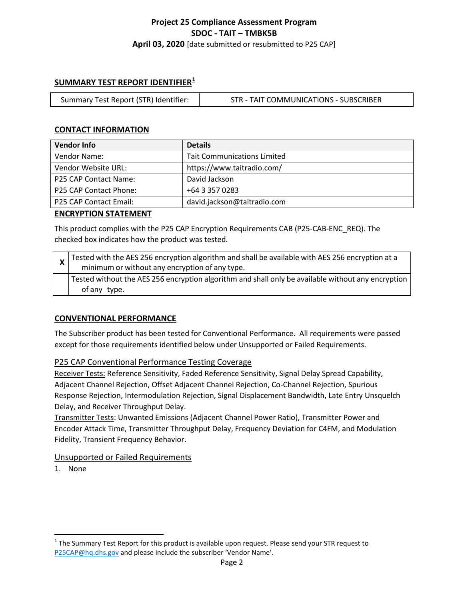# **Project 25 Compliance Assessment Program SDOC - TAIT – TMBK5B April 03, 2020** [date submitted or resubmitted to P25 CAP]

# **SUMMARY TEST REPORT IDENTIFIER[1](#page-1-0)**

| Summary Test Report (STR) Identifier: | STR - TAIT COMMUNICATIONS - SUBSCRIBER |
|---------------------------------------|----------------------------------------|
|---------------------------------------|----------------------------------------|

## **CONTACT INFORMATION**

| <b>Vendor Info</b>     | <b>Details</b>                     |
|------------------------|------------------------------------|
| Vendor Name:           | <b>Tait Communications Limited</b> |
| Vendor Website URL:    | https://www.taitradio.com/         |
| P25 CAP Contact Name:  | David Jackson                      |
| P25 CAP Contact Phone: | +64 3 357 0283                     |
| P25 CAP Contact Email: | david.jackson@taitradio.com        |

#### **ENCRYPTION STATEMENT**

This product complies with the P25 CAP Encryption Requirements CAB (P25-CAB-ENC\_REQ). The checked box indicates how the product was tested.

| $\mathbf{\Lambda}$ | $\chi$ Tested with the AES 256 encryption algorithm and shall be available with AES 256 encryption at a<br>minimum or without any encryption of any type. |
|--------------------|-----------------------------------------------------------------------------------------------------------------------------------------------------------|
|                    | Tested without the AES 256 encryption algorithm and shall only be available without any encryption  <br>of any type.                                      |

## **CONVENTIONAL PERFORMANCE**

The Subscriber product has been tested for Conventional Performance. All requirements were passed except for those requirements identified below under Unsupported or Failed Requirements.

## P25 CAP Conventional Performance Testing Coverage

Receiver Tests: Reference Sensitivity, Faded Reference Sensitivity, Signal Delay Spread Capability, Adjacent Channel Rejection, Offset Adjacent Channel Rejection, Co-Channel Rejection, Spurious Response Rejection, Intermodulation Rejection, Signal Displacement Bandwidth, Late Entry Unsquelch Delay, and Receiver Throughput Delay.

Transmitter Tests: Unwanted Emissions (Adjacent Channel Power Ratio), Transmitter Power and Encoder Attack Time, Transmitter Throughput Delay, Frequency Deviation for C4FM, and Modulation Fidelity, Transient Frequency Behavior.

## Unsupported or Failed Requirements

1. None

 $\overline{\phantom{a}}$ 

<span id="page-1-0"></span> $1$  The Summary Test Report for this product is available upon request. Please send your STR request to [P25CAP@hq.dhs.gov](mailto:P25CAP@hq.dhs.gov) and please include the subscriber 'Vendor Name'.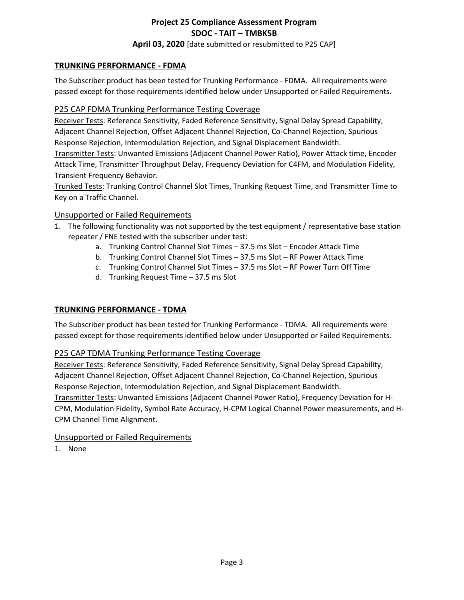**April 03, 2020** [date submitted or resubmitted to P25 CAP]

# **TRUNKING PERFORMANCE - FDMA**

The Subscriber product has been tested for Trunking Performance - FDMA. All requirements were passed except for those requirements identified below under Unsupported or Failed Requirements.

## P25 CAP FDMA Trunking Performance Testing Coverage

Receiver Tests: Reference Sensitivity, Faded Reference Sensitivity, Signal Delay Spread Capability, Adjacent Channel Rejection, Offset Adjacent Channel Rejection, Co-Channel Rejection, Spurious Response Rejection, Intermodulation Rejection, and Signal Displacement Bandwidth.

Transmitter Tests: Unwanted Emissions (Adjacent Channel Power Ratio), Power Attack time, Encoder Attack Time, Transmitter Throughput Delay, Frequency Deviation for C4FM, and Modulation Fidelity, Transient Frequency Behavior.

Trunked Tests: Trunking Control Channel Slot Times, Trunking Request Time, and Transmitter Time to Key on a Traffic Channel.

## Unsupported or Failed Requirements

- 1. The following functionality was not supported by the test equipment / representative base station repeater / FNE tested with the subscriber under test:
	- a. Trunking Control Channel Slot Times 37.5 ms Slot Encoder Attack Time
	- b. Trunking Control Channel Slot Times 37.5 ms Slot RF Power Attack Time
	- c. Trunking Control Channel Slot Times 37.5 ms Slot RF Power Turn Off Time
	- d. Trunking Request Time 37.5 ms Slot

## **TRUNKING PERFORMANCE - TDMA**

The Subscriber product has been tested for Trunking Performance - TDMA. All requirements were passed except for those requirements identified below under Unsupported or Failed Requirements.

# P25 CAP TDMA Trunking Performance Testing Coverage

Receiver Tests: Reference Sensitivity, Faded Reference Sensitivity, Signal Delay Spread Capability, Adjacent Channel Rejection, Offset Adjacent Channel Rejection, Co-Channel Rejection, Spurious Response Rejection, Intermodulation Rejection, and Signal Displacement Bandwidth. Transmitter Tests: Unwanted Emissions (Adjacent Channel Power Ratio), Frequency Deviation for H-

CPM, Modulation Fidelity, Symbol Rate Accuracy, H-CPM Logical Channel Power measurements, and H-CPM Channel Time Alignment.

## Unsupported or Failed Requirements

1. None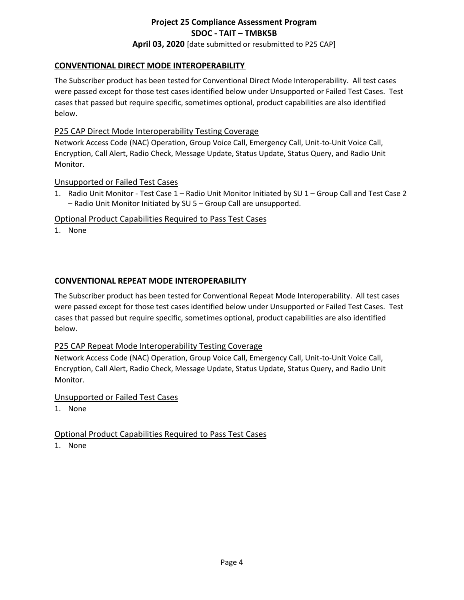# **April 03, 2020** [date submitted or resubmitted to P25 CAP]

## **CONVENTIONAL DIRECT MODE INTEROPERABILITY**

The Subscriber product has been tested for Conventional Direct Mode Interoperability. All test cases were passed except for those test cases identified below under Unsupported or Failed Test Cases. Test cases that passed but require specific, sometimes optional, product capabilities are also identified below.

## P25 CAP Direct Mode Interoperability Testing Coverage

Network Access Code (NAC) Operation, Group Voice Call, Emergency Call, Unit-to-Unit Voice Call, Encryption, Call Alert, Radio Check, Message Update, Status Update, Status Query, and Radio Unit Monitor.

#### Unsupported or Failed Test Cases

1. Radio Unit Monitor - Test Case 1 – Radio Unit Monitor Initiated by SU 1 – Group Call and Test Case 2 – Radio Unit Monitor Initiated by SU 5 – Group Call are unsupported.

### Optional Product Capabilities Required to Pass Test Cases

1. None

## **CONVENTIONAL REPEAT MODE INTEROPERABILITY**

The Subscriber product has been tested for Conventional Repeat Mode Interoperability. All test cases were passed except for those test cases identified below under Unsupported or Failed Test Cases. Test cases that passed but require specific, sometimes optional, product capabilities are also identified below.

## P25 CAP Repeat Mode Interoperability Testing Coverage

Network Access Code (NAC) Operation, Group Voice Call, Emergency Call, Unit-to-Unit Voice Call, Encryption, Call Alert, Radio Check, Message Update, Status Update, Status Query, and Radio Unit Monitor.

#### Unsupported or Failed Test Cases

1. None

## Optional Product Capabilities Required to Pass Test Cases

1. None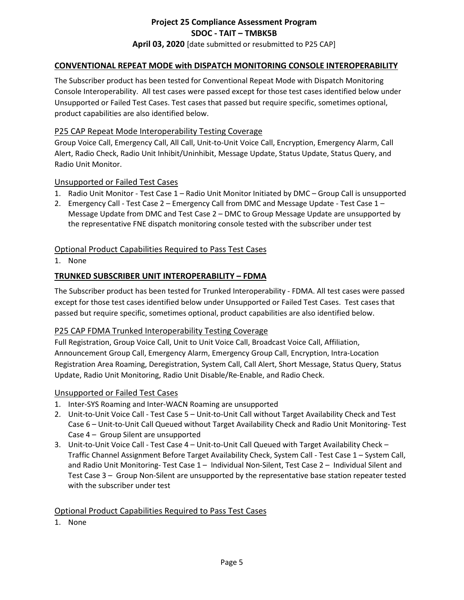# **Project 25 Compliance Assessment Program SDOC - TAIT – TMBK5B April 03, 2020** [date submitted or resubmitted to P25 CAP]

#### **CONVENTIONAL REPEAT MODE with DISPATCH MONITORING CONSOLE INTEROPERABILITY**

The Subscriber product has been tested for Conventional Repeat Mode with Dispatch Monitoring Console Interoperability. All test cases were passed except for those test cases identified below under Unsupported or Failed Test Cases. Test cases that passed but require specific, sometimes optional, product capabilities are also identified below.

#### P25 CAP Repeat Mode Interoperability Testing Coverage

Group Voice Call, Emergency Call, All Call, Unit-to-Unit Voice Call, Encryption, Emergency Alarm, Call Alert, Radio Check, Radio Unit Inhibit/Uninhibit, Message Update, Status Update, Status Query, and Radio Unit Monitor.

#### Unsupported or Failed Test Cases

- 1. Radio Unit Monitor Test Case 1 Radio Unit Monitor Initiated by DMC Group Call is unsupported
- 2. Emergency Call Test Case 2 Emergency Call from DMC and Message Update Test Case 1 Message Update from DMC and Test Case 2 – DMC to Group Message Update are unsupported by the representative FNE dispatch monitoring console tested with the subscriber under test

#### Optional Product Capabilities Required to Pass Test Cases

1. None

#### **TRUNKED SUBSCRIBER UNIT INTEROPERABILITY – FDMA**

The Subscriber product has been tested for Trunked Interoperability - FDMA. All test cases were passed except for those test cases identified below under Unsupported or Failed Test Cases. Test cases that passed but require specific, sometimes optional, product capabilities are also identified below.

#### P25 CAP FDMA Trunked Interoperability Testing Coverage

Full Registration, Group Voice Call, Unit to Unit Voice Call, Broadcast Voice Call, Affiliation, Announcement Group Call, Emergency Alarm, Emergency Group Call, Encryption, Intra-Location Registration Area Roaming, Deregistration, System Call, Call Alert, Short Message, Status Query, Status Update, Radio Unit Monitoring, Radio Unit Disable/Re-Enable, and Radio Check.

#### Unsupported or Failed Test Cases

- 1. Inter-SYS Roaming and Inter-WACN Roaming are unsupported
- 2. Unit-to-Unit Voice Call Test Case 5 Unit-to-Unit Call without Target Availability Check and Test Case 6 – Unit-to-Unit Call Queued without Target Availability Check and Radio Unit Monitoring- Test Case 4 – Group Silent are unsupported
- 3. Unit-to-Unit Voice Call Test Case 4 Unit-to-Unit Call Queued with Target Availability Check Traffic Channel Assignment Before Target Availability Check, System Call - Test Case 1 – System Call, and Radio Unit Monitoring- Test Case 1 – Individual Non-Silent, Test Case 2 – Individual Silent and Test Case 3 – Group Non-Silent are unsupported by the representative base station repeater tested with the subscriber under test

#### Optional Product Capabilities Required to Pass Test Cases

1. None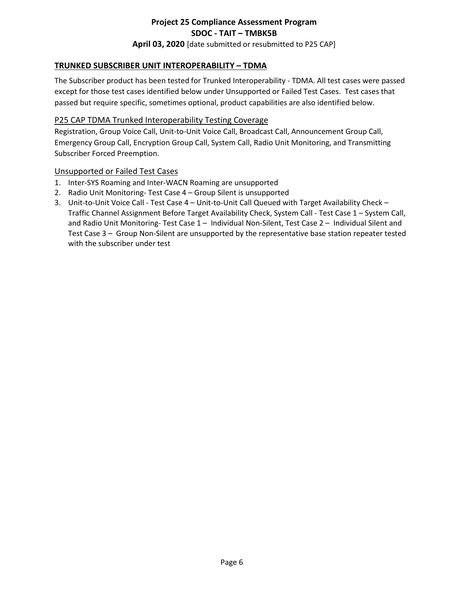# **Project 25 Compliance Assessment Program SDOC - TAIT – TMBK5B April 03, 2020** [date submitted or resubmitted to P25 CAP]

# **TRUNKED SUBSCRIBER UNIT INTEROPERABILITY – TDMA**

The Subscriber product has been tested for Trunked Interoperability - TDMA. All test cases were passed except for those test cases identified below under Unsupported or Failed Test Cases. Test cases that passed but require specific, sometimes optional, product capabilities are also identified below.

#### P25 CAP TDMA Trunked Interoperability Testing Coverage

Registration, Group Voice Call, Unit-to-Unit Voice Call, Broadcast Call, Announcement Group Call, Emergency Group Call, Encryption Group Call, System Call, Radio Unit Monitoring, and Transmitting Subscriber Forced Preemption.

#### Unsupported or Failed Test Cases

- 1. Inter-SYS Roaming and Inter-WACN Roaming are unsupported
- 2. Radio Unit Monitoring- Test Case 4 Group Silent is unsupported
- 3. Unit-to-Unit Voice Call Test Case 4 Unit-to-Unit Call Queued with Target Availability Check Traffic Channel Assignment Before Target Availability Check, System Call - Test Case 1 – System Call, and Radio Unit Monitoring- Test Case 1 – Individual Non-Silent, Test Case 2 – Individual Silent and Test Case 3 – Group Non-Silent are unsupported by the representative base station repeater tested with the subscriber under test